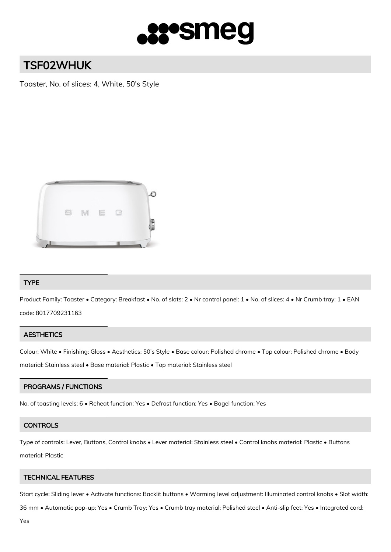

# TSF02WHUK

Toaster, No. of slices: 4, White, 50's Style



# TYPE

Product Family: Toaster • Category: Breakfast • No. of slots: 2 • Nr control panel: 1 • No. of slices: 4 • Nr Crumb tray: 1 • EAN code: 8017709231163

# **AESTHETICS**

Colour: White • Finishing: Gloss • Aesthetics: 50's Style • Base colour: Polished chrome • Top colour: Polished chrome • Body material: Stainless steel • Base material: Plastic • Top material: Stainless steel

# PROGRAMS / FUNCTIONS

No. of toasting levels: 6 • Reheat function: Yes • Defrost function: Yes • Bagel function: Yes

#### **CONTROLS**

Type of controls: Lever, Buttons, Control knobs • Lever material: Stainless steel • Control knobs material: Plastic • Buttons material: Plastic

## TECHNICAL FEATURES

Start cycle: Sliding lever • Activate functions: Backlit buttons • Warming level adjustment: Illuminated control knobs • Slot width:

36 mm • Automatic pop-up: Yes • Crumb Tray: Yes • Crumb tray material: Polished steel • Anti-slip feet: Yes • Integrated cord: